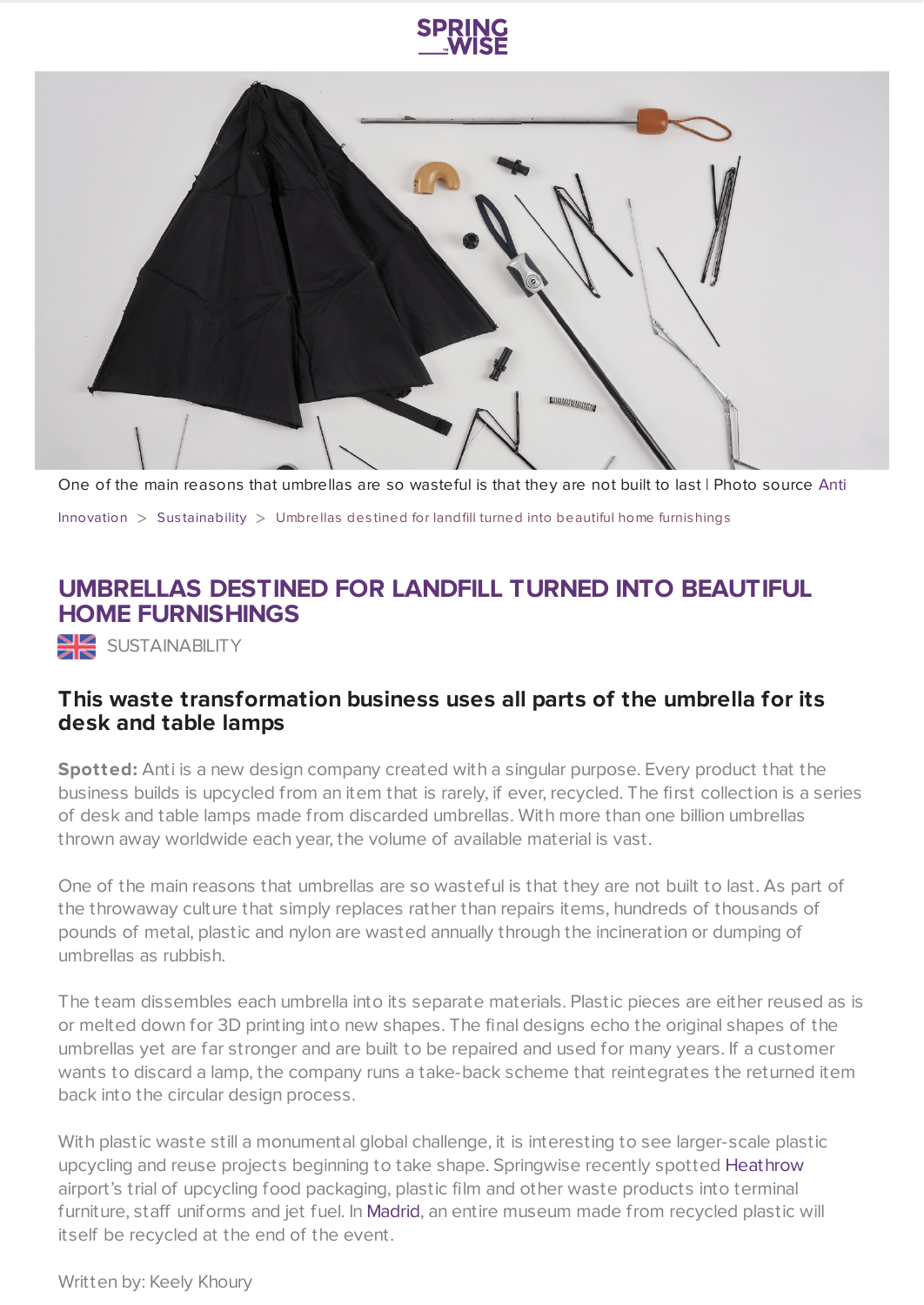



One of the main reasons that umbrellas are so wasteful is that they are not built to last | Photo source [Anti](https://www.anti-waste.com/)

[Innovation](https://www.springwise.com/search?type=innovation)  $>$  Sus[tainability](https://www.springwise.com/search?type=innovation§or=sustainability)  $>$  Umbrellas destined for landfill turned into beautiful home furnishings

## **UMBRELLAS DESTINED FOR LANDFILL TURNED INTO BEAUTIFUL HOME FURNISHINGS**

SUSTAINABILITY

## **This waste transformation business uses all parts of the umbrella for its desk and table lamps**

**Spotted:** Anti is a new design company created with a singular purpose. Every product that the business builds is upcycled from an item that is rarely, if ever, recycled. The first collection is a series of desk and table lamps made from discarded umbrellas. With more than one billion umbrellas thrown away worldwide each year, the volume of available material is vast.

One of the main reasons that umbrellas are so wasteful is that they are not built to last. As part of the throwaway culture that simply replaces rather than repairs items, hundreds of thousands of pounds of metal, plastic and nylon are wasted annually through the incineration or dumping of umbrellas as rubbish.

The team dissembles each umbrella into its separate materials. Plastic pieces are either reused as is or melted down for 3D printing into new shapes. The final designs echo the original shapes of the umbrellas yet are far stronger and are built to be repaired and used for many years. If a customer wants to discard a lamp, the company runs a take-back scheme that reintegrates the returned item back into the circular design process.

With plastic waste still a monumental global challenge, it is interesting to see larger-scale plastic upcycling and reuse projects beginning to take shape. Springwise recently spotted [Heathrow](https://www.springwise.com/innovation/travel-tourism/heathrow-airport-recycled-material-passenger-waste) airport's trial of upcycling food packaging, plastic film and other waste products into terminal furniture, staff uniforms and jet fuel. In [Madrid,](https://www.springwise.com/innovation/architecture-design/the-plastic-museum-madrid) an entire museum made from recycled plastic will itself be recycled at the end of the event.

Written by: Keely Khoury